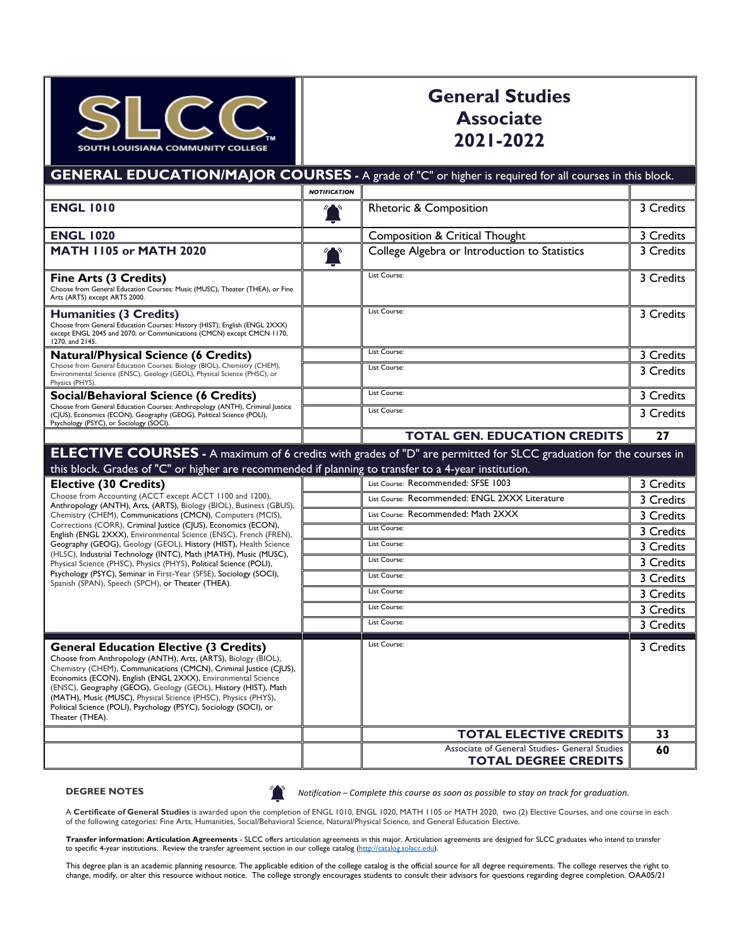

## **General Studies Associate 2021-2022**

**GENERAL EDUCATION/MAJOR COURSES -** A grade of "C" or higher is required for all courses in this block. *NOTIFICATION* **ENGL 1010** 3 Credits **ENGL 1020** 3 Credits **Composition & Critical Thought** 3 Credits **MATH 1105 or MATH 2020 College Algebra or Introduction to Statistics** 3 Credits **Fine Arts (3 Credits)** Choose from General Education Courses: Music (MUSC), Theater (THEA), or Fine Arts (ARTS) except ARTS 2000. List Course: 3 Credits **Humanities (3 Credits)** Choose from General Education Courses: History (HIST); English (ENGL 2XXX) except ENGL 2045 and 2070; or Communications (CMCN) except CMCN 1170, 1270, and 2145. List Course: 3 Credits **Natural/Physical Science (6 Credits)** Choose from General Education Courses: Biology (BIOL), Chemistry (CHEM), Environmental Science (ENSC), Geology (GEOL), Physical Science (PHSC), or Physics (PHYS). List Course: 3 Credits List Course: 3 Credits **Social/Behavioral Science (6 Credits)** Choose from General Education Courses: Anthropology (ANTH), Criminal Justice (CJUS), Economics (ECON), Geography (GEOG), Political Science (POLI), Psychology (PSYC), or Sociology (SOCI) List Course: 3 Credits List Course: 2 2 Credits **TOTAL GEN. EDUCATION CREDITS 27 ELECTIVE COURSES -** A maximum of 6 credits with grades of "D" are permitted for SLCC graduation for the courses in this block. Grades of "C" or higher are recommended if planning to transfer to a 4-year institution. **Elective (30 Credits)** Choose from Accounting (ACCT except ACCT 1100 and 1200), Anthropology (ANTH), Arts, (ARTS), Biology (BIOL), Business (GBUS), Chemistry (CHEM), Communications (CMCN), Computers (MCIS), Corrections (CORR), Criminal Justice (CJUS), Economics (ECON), English (ENGL 2XXX), Environmental Science (ENSC), French (FREN), Geography (GEOG), Geology (GEOL), History (HIST), Health Science (HLSC), Industrial Technology (INTC), Math (MATH), Music (MUSC), Physical Science (PHSC), Physics (PHYS), Political Science (POLI), Psychology (PSYC), Seminar in First-Year (SFSE), Sociology (SOCI), Spanish (SPAN), Speech (SPCH), or Theater (THEA). List Course: Recommended: SFSE 1003 3 Credits List Course: Recommended: ENGL 2XXX Literature 3 Credits List Course: Recommended: Math 2XXX 3 3 Credits List Course: 2 Credits List Course: 3 Credits List Course: 2 Credits List Course: 3 Credits List Course: 3 Credits List Course: 2 2 Credits List Course: 3 Credits **General Education Elective (3 Credits)** Choose from Anthropology (ANTH), Arts, (ARTS), Biology (BIOL), Chemistry (CHEM), Communications (CMCN), Criminal Justice (CJUS), Economics (ECON), English (ENGL 2XXX), Environmental Science (ENSC), Geography (GEOG), Geology (GEOL), History (HIST), Math (MATH), Music (MUSC), Physical Science (PHSC), Physics (PHYS), Political Science (POLI), Psychology (PSYC), Sociology (SOCI), or Theater (THEA). List Course: 2 2 2 3 Credits **TOTAL ELECTIVE CREDITS 33** Associate of General Studies- General Studies **TOTAL DEGREE CREDITS 60**

**DEGREE NOTES**

*Notification – Complete this course as soon as possible to stay on track for graduation.*

A **Certificate of General Studies** is awarded upon the completion of ENGL 1010, ENGL 1020, MATH 1105 or MATH 2020, two (2) Elective Courses, and one course in each of the following categories: Fine Arts, Humanities, Social/Behavioral Science, Natural/Physical Science, and General Education Elective.

**Transfer information: Articulation Agreements** - SLCC offers articulation agreements in this major. Articulation agreements are designed for SLCC graduates who intend to transfer to specific 4-year institutions. Review the transfer agreement section in our college catalog (http://catalog.solacc.edu).

This degree plan is an academic planning resource. The applicable edition of the college catalog is the official source for all degree requirements. The college reserves the right to change, modify, or alter this resource without notice. The college strongly encourages students to consult their advisors for questions regarding degree completion. OAA05/21